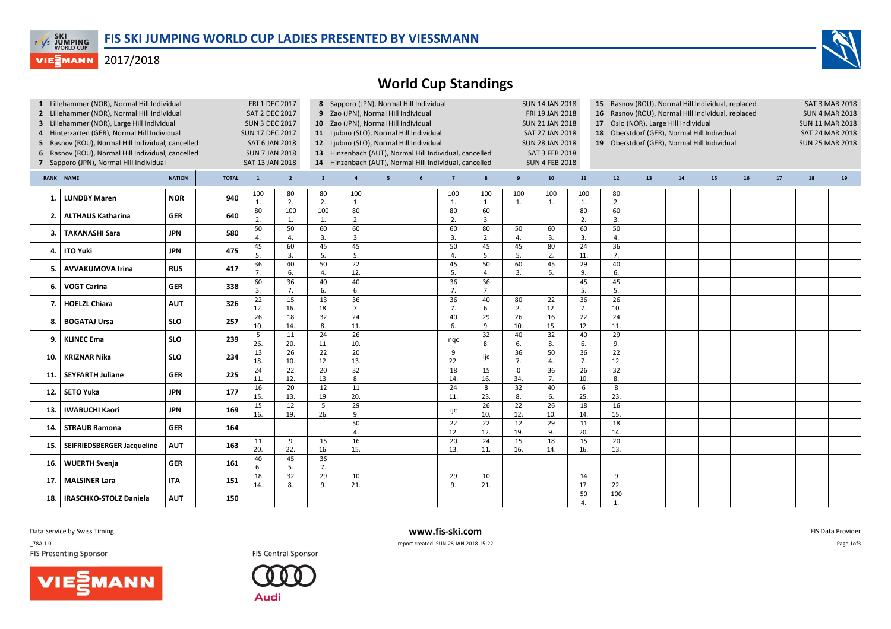

## **VIESMANN** 2017/2018



| 1 Lillehammer (NOR), Normal Hill Individual<br>2 Lillehammer (NOR), Normal Hill Individual<br>3 Lillehammer (NOR), Large Hill Individual<br>4 Hinterzarten (GER), Normal Hill Individual<br>Rasnov (ROU), Normal Hill Individual, cancelled<br>5<br>6 Rasnov (ROU), Normal Hill Individual, cancelled<br>7 Sapporo (JPN), Normal Hill Individual |                               |            |              | <b>FRI 1 DEC 2017</b><br><b>SAT 2 DEC 2017</b><br><b>SUN 3 DEC 2017</b><br><b>SUN 17 DEC 2017</b><br><b>SAT 6 JAN 2018</b><br><b>SUN 7 JAN 2018</b><br>SAT 13 JAN 2018 |                        | 8 Sapporo (JPN), Normal Hill Individual<br>9 Zao (JPN), Normal Hill Individual<br>10 Zao (JPN), Normal Hill Individual<br>11 Ljubno (SLO), Normal Hill Individual<br>12 Ljubno (SLO), Normal Hill Individual<br>13 Hinzenbach (AUT), Normal Hill Individual, cancelled<br>14 Hinzenbach (AUT), Normal Hill Individual, cancelled |                         |                 |   |                |           |                    | <b>SUN 14 JAN 2018</b><br>FRI 19 JAN 2018<br><b>SUN 21 JAN 2018</b><br>SAT 27 JAN 2018<br><b>SUN 28 JAN 2018</b><br>SAT 3 FEB 2018<br><b>SUN 4 FEB 2018</b> |                        | 15 Rasnov (ROU), Normal Hill Individual, replaced<br>16<br>17 <sup>2</sup><br>18<br>19 Oberstdorf (GER), Normal Hill Individual |    | Rasnov (ROU), Normal Hill Individual, replaced<br>Oslo (NOR), Large Hill Individual<br>Oberstdorf (GER), Normal Hill Individual |    |    |    | <b>SAT 3 MAR 2018</b><br><b>SUN 4 MAR 2018</b><br><b>SUN 11 MAR 2018</b><br><b>SAT 24 MAR 2018</b><br><b>SUN 25 MAR 2018</b> |    |  |
|--------------------------------------------------------------------------------------------------------------------------------------------------------------------------------------------------------------------------------------------------------------------------------------------------------------------------------------------------|-------------------------------|------------|--------------|------------------------------------------------------------------------------------------------------------------------------------------------------------------------|------------------------|----------------------------------------------------------------------------------------------------------------------------------------------------------------------------------------------------------------------------------------------------------------------------------------------------------------------------------|-------------------------|-----------------|---|----------------|-----------|--------------------|-------------------------------------------------------------------------------------------------------------------------------------------------------------|------------------------|---------------------------------------------------------------------------------------------------------------------------------|----|---------------------------------------------------------------------------------------------------------------------------------|----|----|----|------------------------------------------------------------------------------------------------------------------------------|----|--|
| <b>NATION</b><br>RANK NAME                                                                                                                                                                                                                                                                                                                       |                               |            | <b>TOTAL</b> | $\mathbf{1}$                                                                                                                                                           | $\overline{2}$         | $\overline{\mathbf{3}}$                                                                                                                                                                                                                                                                                                          | $\overline{\mathbf{4}}$ | $5\overline{5}$ | 6 | $\overline{7}$ | 8         | $\boldsymbol{9}$   | 10 <sub>1</sub>                                                                                                                                             | 11                     | 12                                                                                                                              | 13 | 14                                                                                                                              | 15 | 16 | 17 | 18                                                                                                                           | 19 |  |
| -1                                                                                                                                                                                                                                                                                                                                               | <b>LUNDBY Maren</b>           | <b>NOR</b> | 940          | 100<br>1.                                                                                                                                                              | 80<br>2.               | 80<br>2.                                                                                                                                                                                                                                                                                                                         | 100<br>1.               |                 |   | 100<br>1.      | 100<br>1. | 100<br>1.          | 100<br>$\mathbf{1}$ .                                                                                                                                       | 100<br>1.              | 80<br>$\overline{2}$ .                                                                                                          |    |                                                                                                                                 |    |    |    |                                                                                                                              |    |  |
| 2.                                                                                                                                                                                                                                                                                                                                               | <b>ALTHAUS Katharina</b>      | <b>GER</b> | 640          | 80<br>$\overline{2}$                                                                                                                                                   | 100<br>$\mathbf{1}$    | 100<br>1.                                                                                                                                                                                                                                                                                                                        | 80<br>2.                |                 |   | 80<br>2.       | 60<br>3.  |                    |                                                                                                                                                             | 80<br>$\overline{2}$   | 60<br>3.                                                                                                                        |    |                                                                                                                                 |    |    |    |                                                                                                                              |    |  |
| 3.                                                                                                                                                                                                                                                                                                                                               | TAKANASHI Sara                | <b>JPN</b> | 580          | 50<br>4                                                                                                                                                                | 50<br>$\overline{4}$ . | 60<br>3.                                                                                                                                                                                                                                                                                                                         | 60<br>3.                |                 |   | 60<br>3.       | 80<br>2.  | 50<br>4.           | 60<br>3.                                                                                                                                                    | 60<br>$\overline{3}$   | 50<br>$\overline{4}$                                                                                                            |    |                                                                                                                                 |    |    |    |                                                                                                                              |    |  |
| 4.                                                                                                                                                                                                                                                                                                                                               | <b>ITO Yuki</b>               | <b>JPN</b> | 475          | 45<br>5.                                                                                                                                                               | 60<br>$\overline{3}$   | 45<br>5.                                                                                                                                                                                                                                                                                                                         | 45<br>5.                |                 |   | 50<br>4.       | 45<br>5.  | 45<br>5.           | 80<br>2.                                                                                                                                                    | 24<br>11.              | 36<br>7.                                                                                                                        |    |                                                                                                                                 |    |    |    |                                                                                                                              |    |  |
| 5                                                                                                                                                                                                                                                                                                                                                | <b>AVVAKUMOVA Irina</b>       | <b>RUS</b> | 417          | 36<br>7.                                                                                                                                                               | 40<br>6.               | 50<br>4.                                                                                                                                                                                                                                                                                                                         | 22<br>12.               |                 |   | 45<br>5.       | 50<br>4.  | 60<br>3.           | 45<br>5.                                                                                                                                                    | 29<br>9.               | 40<br>6.                                                                                                                        |    |                                                                                                                                 |    |    |    |                                                                                                                              |    |  |
| 6.                                                                                                                                                                                                                                                                                                                                               | <b>VOGT Carina</b>            | <b>GER</b> | 338          | 60<br>3.                                                                                                                                                               | 36<br>7.               | 40<br>6.                                                                                                                                                                                                                                                                                                                         | 40<br>6.                |                 |   | 36<br>7.       | 36<br>7.  |                    |                                                                                                                                                             | 45<br>5.               | 45<br>5.                                                                                                                        |    |                                                                                                                                 |    |    |    |                                                                                                                              |    |  |
| 7.                                                                                                                                                                                                                                                                                                                                               | <b>HOELZL Chiara</b>          | <b>AUT</b> | 326          | 22<br>12.                                                                                                                                                              | 15<br>16.              | 13<br>18.                                                                                                                                                                                                                                                                                                                        | 36<br>7.                |                 |   | 36<br>7.       | 40<br>6.  | 80<br>2.           | 22<br>12.                                                                                                                                                   | $\overline{36}$<br>7.  | $\overline{26}$<br>10.                                                                                                          |    |                                                                                                                                 |    |    |    |                                                                                                                              |    |  |
| 8.                                                                                                                                                                                                                                                                                                                                               | <b>BOGATAJ Ursa</b>           | <b>SLO</b> | 257          | 26<br>10.                                                                                                                                                              | 18<br>14.              | 32<br>8.                                                                                                                                                                                                                                                                                                                         | 24<br>11.               |                 |   | 40<br>6.       | 29<br>9.  | 26<br>10.          | 16<br>15.                                                                                                                                                   | 22<br>12.              | 24<br>11.                                                                                                                       |    |                                                                                                                                 |    |    |    |                                                                                                                              |    |  |
| 9.                                                                                                                                                                                                                                                                                                                                               | <b>KLINEC Ema</b>             | <b>SLO</b> | 239          | 5<br>26.                                                                                                                                                               | 11<br>20.              | 24<br>11.                                                                                                                                                                                                                                                                                                                        | 26<br>10.               |                 |   | ngc            | 32<br>8.  | 40<br>6.           | 32<br>8.                                                                                                                                                    | 40<br>6.               | 29<br>9.                                                                                                                        |    |                                                                                                                                 |    |    |    |                                                                                                                              |    |  |
| 10.                                                                                                                                                                                                                                                                                                                                              | <b>KRIZNAR Nika</b>           | <b>SLO</b> | 234          | $\overline{13}$<br>18.                                                                                                                                                 | 26<br>10.              | 22<br>12.                                                                                                                                                                                                                                                                                                                        | 20<br>13.               |                 |   | 9<br>22.       | ijc       | 36<br>7.           | 50<br>4.                                                                                                                                                    | 36<br>7.               | 22<br>12.                                                                                                                       |    |                                                                                                                                 |    |    |    |                                                                                                                              |    |  |
| 11.                                                                                                                                                                                                                                                                                                                                              | <b>SEYFARTH Juliane</b>       | <b>GER</b> | 225          | 24<br>11.                                                                                                                                                              | $\overline{22}$<br>12. | 20<br>13.                                                                                                                                                                                                                                                                                                                        | 32<br>8.                |                 |   | 18<br>14.      | 15<br>16. | $\mathbf 0$<br>34. | $\overline{36}$<br>7.                                                                                                                                       | $\overline{26}$<br>10. | 32<br>8.                                                                                                                        |    |                                                                                                                                 |    |    |    |                                                                                                                              |    |  |
| 12.                                                                                                                                                                                                                                                                                                                                              | <b>SETO Yuka</b>              | <b>JPN</b> | 177          | 16<br>15.                                                                                                                                                              | 20<br>13.              | 12<br>19.                                                                                                                                                                                                                                                                                                                        | 11<br>20.               |                 |   | 24<br>11.      | 8<br>23.  | 32<br>8.           | 40<br>6.                                                                                                                                                    | 6<br>25.               | 8<br>23.                                                                                                                        |    |                                                                                                                                 |    |    |    |                                                                                                                              |    |  |
| 13.                                                                                                                                                                                                                                                                                                                                              | <b>IWABUCHI Kaori</b>         | <b>JPN</b> | 169          | 15<br>16.                                                                                                                                                              | 12<br>19.              | 5<br>26.                                                                                                                                                                                                                                                                                                                         | 29<br>9.                |                 |   | ijc            | 26<br>10. | 22<br>12.          | 26<br>10.                                                                                                                                                   | 18<br>14.              | 16<br>15.                                                                                                                       |    |                                                                                                                                 |    |    |    |                                                                                                                              |    |  |
| 14.                                                                                                                                                                                                                                                                                                                                              | <b>STRAUB Ramona</b>          | <b>GER</b> | 164          |                                                                                                                                                                        |                        |                                                                                                                                                                                                                                                                                                                                  | 50<br>4.                |                 |   | 22<br>12.      | 22<br>12. | 12<br>19.          | 29<br>9.                                                                                                                                                    | 11<br>20.              | 18<br>14.                                                                                                                       |    |                                                                                                                                 |    |    |    |                                                                                                                              |    |  |
| 15.                                                                                                                                                                                                                                                                                                                                              | SEIFRIEDSBERGER Jacqueline    | AUT        | 163          | 11<br>20.                                                                                                                                                              | 9<br>22.               | 15<br>16.                                                                                                                                                                                                                                                                                                                        | 16<br>15.               |                 |   | 20<br>13.      | 24<br>11. | 15<br>16.          | 18<br>14.                                                                                                                                                   | 15<br>16.              | 20<br>13.                                                                                                                       |    |                                                                                                                                 |    |    |    |                                                                                                                              |    |  |
| 16.                                                                                                                                                                                                                                                                                                                                              | <b>WUERTH Svenja</b>          | <b>GER</b> | 161          | 40<br>6.                                                                                                                                                               | 45<br>5.               | 36<br>7.                                                                                                                                                                                                                                                                                                                         |                         |                 |   |                |           |                    |                                                                                                                                                             |                        |                                                                                                                                 |    |                                                                                                                                 |    |    |    |                                                                                                                              |    |  |
| 17.                                                                                                                                                                                                                                                                                                                                              | <b>MALSINER Lara</b>          | <b>ITA</b> | 151          | 18<br>14.                                                                                                                                                              | 32<br>8.               | 29<br>9.                                                                                                                                                                                                                                                                                                                         | 10<br>21.               |                 |   | 29<br>9.       | 10<br>21. |                    |                                                                                                                                                             | 14<br>17.              | 9<br>22.                                                                                                                        |    |                                                                                                                                 |    |    |    |                                                                                                                              |    |  |
| 18.                                                                                                                                                                                                                                                                                                                                              | <b>IRASCHKO-STOLZ Daniela</b> | <b>AUT</b> | 150          |                                                                                                                                                                        |                        |                                                                                                                                                                                                                                                                                                                                  |                         |                 |   |                |           |                    |                                                                                                                                                             | 50<br>4                | 100<br>$\mathbf{1}$                                                                                                             |    |                                                                                                                                 |    |    |    |                                                                                                                              |    |  |

Data Service by Swiss Timing

\_78A 1.0

**FIS Central Sponsor** 

MANN VIE



 www.fis-ski.comTES Central Sponsor FIS Central Sponsor FIS Central Sponsor FIS Presenting Sponsor FIS Presenting Sponsor

m FIS Data Provider<br>Participal of the contract of the contract of the contract of the contract of the contract of the contract of



Page 1of3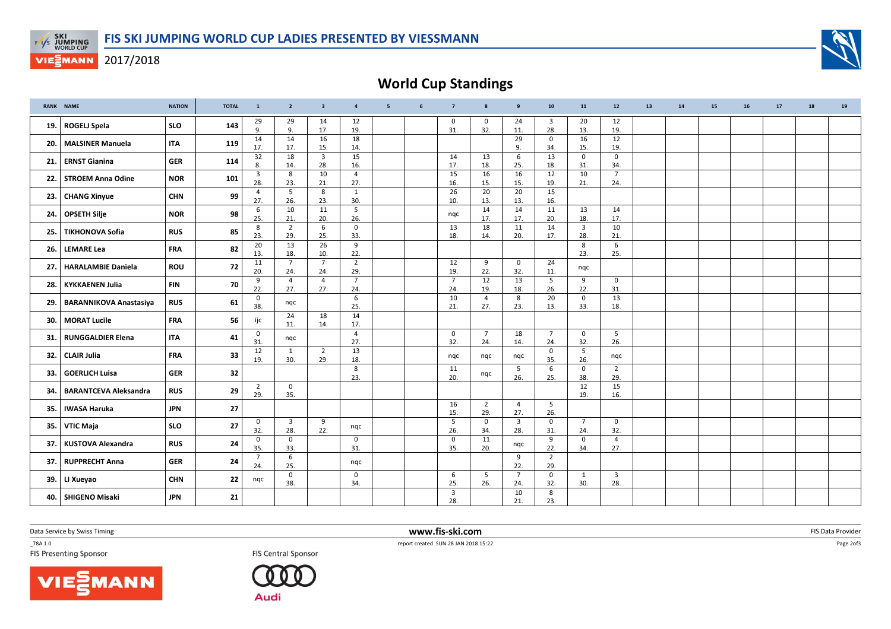

## **VIESMANN** 2017/2018



World Cup Standings

|      | <b>RANK NAME</b>              | <b>NATION</b> | <b>TOTAL</b> | $\mathbf{1}$           | $\overline{2}$        | $\overline{\mathbf{3}}$ | $\overline{4}$        | 5 | 6 | $\overline{7}$        | 8                     | 9                     | 10 <sub>1</sub>       | 11                    | 12                             | 13 | 14 | 15 | 16 | 17 | 18 | 19 |
|------|-------------------------------|---------------|--------------|------------------------|-----------------------|-------------------------|-----------------------|---|---|-----------------------|-----------------------|-----------------------|-----------------------|-----------------------|--------------------------------|----|----|----|----|----|----|----|
|      | 19.   ROGELJ Spela            | <b>SLO</b>    | 143          | 29<br>9.               | 29<br>9.              | 14<br>17.               | 12<br>19.             |   |   | 0<br>31.              | 0<br>32.              | 24<br>11.             | $\overline{3}$<br>28. | 20<br>13.             | 12<br>19.                      |    |    |    |    |    |    |    |
|      | 20. MALSINER Manuela          | <b>ITA</b>    | 119          | 14<br>17.              | 14<br>17.             | 16<br>15.               | 18<br>14.             |   |   |                       |                       | 29<br>9.              | 0<br>34.              | 16<br>15.             | 12<br>19.                      |    |    |    |    |    |    |    |
|      | 21. ERNST Gianina             | <b>GER</b>    | 114          | $\overline{32}$<br>8.  | 18<br>14.             | $\overline{3}$<br>28.   | 15<br>16.             |   |   | 14<br>17.             | 13<br>18.             | 6<br>25.              | 13<br>18.             | $\mathbf 0$<br>31.    | $\mathbf 0$<br>34.             |    |    |    |    |    |    |    |
| 22.  | <b>STROEM Anna Odine</b>      | <b>NOR</b>    | 101          | $\overline{3}$<br>28.  | 8<br>23.              | 10<br>21.               | $\overline{4}$<br>27. |   |   | 15<br>16.             | 16<br>15.             | 16<br>15.             | 12<br>19.             | 10<br>21.             | $\overline{7}$<br>24.          |    |    |    |    |    |    |    |
| 23.1 | <b>CHANG Xinyue</b>           | <b>CHN</b>    | 99           | $\overline{4}$<br>27.  | 5<br>26.              | 8<br>23.                | 1<br>30.              |   |   | 26<br>10.             | 20<br>13.             | 20<br>13.             | 15<br>16.             |                       |                                |    |    |    |    |    |    |    |
|      | 24. OPSETH Silje              | <b>NOR</b>    | 98           | 6                      | 10                    | 11                      | 5                     |   |   | nqc                   | 14                    | 14                    | 11                    | 13                    | 14                             |    |    |    |    |    |    |    |
| 25.  | <b>TIKHONOVA Sofia</b>        | <b>RUS</b>    | 85           | 25.<br>8               | 21.<br>$\overline{2}$ | 20.<br>6                | 26.<br>$\mathbf 0$    |   |   | 13                    | 17.<br>18             | 17.<br>11             | 20.<br>14             | 18.<br>3              | 17.<br>10                      |    |    |    |    |    |    |    |
| 26.  | <b>LEMARE Lea</b>             | <b>FRA</b>    | 82           | 23.<br>20              | 29.<br>13             | 25.<br>26               | 33.<br>9              |   |   | 18.                   | 14.                   | 20.                   | 17.                   | 28.<br>8              | 21.<br>6                       |    |    |    |    |    |    |    |
|      | 27.   HARALAMBIE Daniela      | ROU           | 72           | 13.<br>11              | 18.<br>$\overline{7}$ | 10.<br>$\overline{7}$   | 22.<br>$\overline{2}$ |   |   | 12                    | 9                     | $\mathbf 0$           | 24                    | 23.                   | 25.                            |    |    |    |    |    |    |    |
|      |                               |               |              | 20.<br>9               | 24.<br>$\overline{4}$ | 24.<br>$\overline{4}$   | 29.<br>$\overline{7}$ |   |   | 19.<br>$\overline{7}$ | 22.<br>12             | 32.<br>13             | 11.<br>5              | nqc<br>9              | $\mathbf 0$                    |    |    |    |    |    |    |    |
| 28.  | <b>KYKKAENEN Julia</b>        | <b>FIN</b>    | 70           | 22.<br>0               | 27.                   | 27.                     | 24.<br>6              |   |   | 24.<br>10             | 19.<br>$\overline{4}$ | 18.<br>8              | 26.<br>20             | 22.<br>0              | 31.<br>13                      |    |    |    |    |    |    |    |
| 29.  | <b>BARANNIKOVA Anastasiya</b> | <b>RUS</b>    | 61           | 38.                    | nqc<br>24             | 18                      | 25.<br>14             |   |   | 21.                   | 27.                   | 23.                   | 13.                   | 33.                   | 18.                            |    |    |    |    |    |    |    |
|      | 30.   MORAT Lucile            | <b>FRA</b>    | 56           | ijc                    | 11.                   | 14.                     | 17.                   |   |   |                       |                       |                       |                       |                       |                                |    |    |    |    |    |    |    |
| 31.1 | RUNGGALDIER Elena             | <b>ITA</b>    | 41           | $\mathbf 0$<br>31      | ngc                   |                         | $\overline{4}$<br>27. |   |   | 0<br>32.              | $\overline{7}$<br>24. | 18<br>14.             | $\overline{7}$<br>24. | $\mathbf 0$<br>32.    | 5<br>26.                       |    |    |    |    |    |    |    |
| 32.  | <b>CLAIR Julia</b>            | <b>FRA</b>    | 33           | $\overline{12}$<br>19. | 1<br>30.              | $\overline{2}$<br>29.   | 13<br>18.             |   |   | nqc                   | nqc                   | nqc                   | $\mathbf 0$<br>35.    | 5<br>26.              | nqc                            |    |    |    |    |    |    |    |
| 33.  | <b>GOERLICH Luisa</b>         | <b>GER</b>    | 32           |                        |                       |                         | 8<br>23.              |   |   | 11<br>20.             | nqc                   | 5<br>26.              | 6<br>25.              | $\mathbf 0$<br>38.    | $\overline{2}$<br>29.          |    |    |    |    |    |    |    |
| 34.  | <b>BARANTCEVA Aleksandra</b>  | <b>RUS</b>    | 29           | $\overline{2}$<br>29.  | $\mathbf 0$<br>35.    |                         |                       |   |   |                       |                       |                       |                       | 12<br>19.             | 15<br>16.                      |    |    |    |    |    |    |    |
| 35.  | <b>IWASA Haruka</b>           | <b>JPN</b>    | 27           |                        |                       |                         |                       |   |   | 16<br>15.             | $\overline{2}$<br>29. | $\overline{4}$<br>27. | 5<br>26.              |                       |                                |    |    |    |    |    |    |    |
| 35.  | VTIC Maja                     | <b>SLO</b>    | 27           | $\mathbf 0$<br>32.     | $\overline{3}$<br>28. | 9<br>22.                | ngc                   |   |   | 5<br>26.              | $\mathsf{O}$<br>34.   | $\mathbf{3}$<br>28.   | $\mathbf 0$<br>31.    | $\overline{7}$<br>24. | 0<br>32.                       |    |    |    |    |    |    |    |
| 37.1 | KUSTOVA Alexandra             | <b>RUS</b>    | 24           | $\mathbf 0$<br>35.     | $\mathbf 0$<br>33.    |                         | $\mathbf 0$<br>31.    |   |   | $\mathbf 0$<br>35.    | 11<br>20.             | ngc                   | 9<br>22.              | $\mathbf 0$<br>34.    | $\overline{4}$<br>27.          |    |    |    |    |    |    |    |
|      | 37. RUPPRECHT Anna            | <b>GER</b>    | 24           | $\overline{7}$<br>24.  | 6<br>25.              |                         | ngc                   |   |   |                       |                       | 9<br>22.              | $\overline{2}$<br>29. |                       |                                |    |    |    |    |    |    |    |
|      | 39. LI Xueyao                 | <b>CHN</b>    | 22           | ngc                    | 0<br>38.              |                         | 0<br>34.              |   |   | 6<br>25.              | 5<br>26.              | $\overline{7}$<br>24. | $\mathbf 0$<br>32.    | 1<br>30.              | $\overline{\mathbf{3}}$<br>28. |    |    |    |    |    |    |    |
|      | 40. SHIGENO Misaki            | <b>JPN</b>    | 21           |                        |                       |                         |                       |   |   | $\overline{3}$<br>28. |                       | 10<br>21.             | 8<br>23.              |                       |                                |    |    |    |    |    |    |    |

Data Service by Swiss Timing

\_78A 1.0

**FIS Central Sponsor** 

VIESMANN



 www.fis-ski.comTES Presenting Sponsor **FIS** Central Sponsor **FIS** Central Sponsor **FIS** Presenting Sponsor **FIS** Presenting Sponsor

m FIS Data Provider<br>Parties and the contract of the contract of the contract of the contract of the contract of the contract of the

Page 2of3